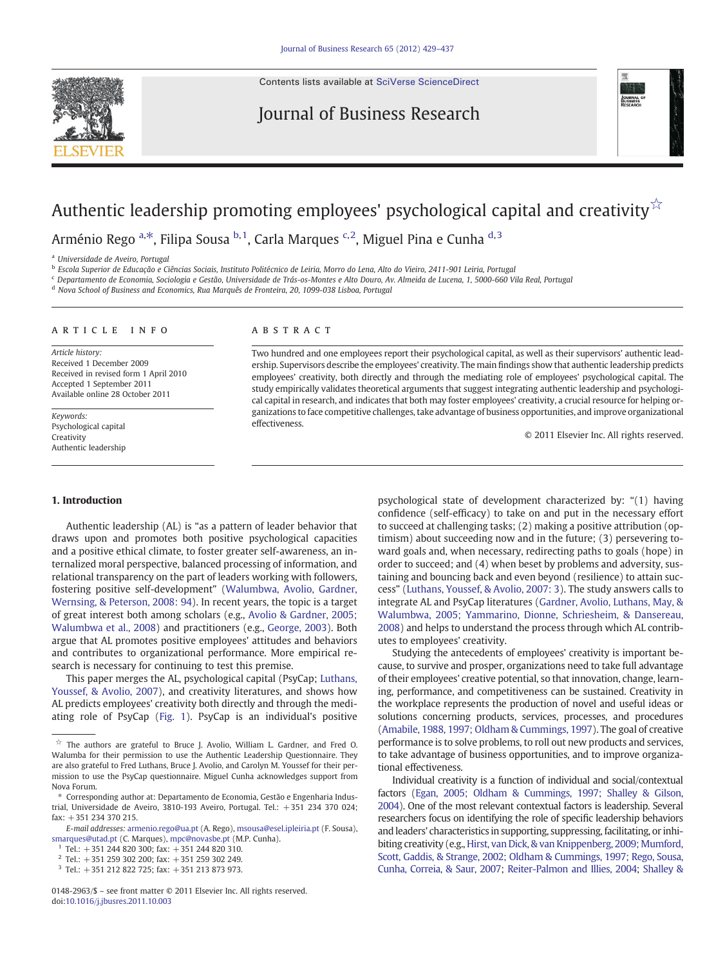Contents lists available at [SciVerse ScienceDirect](http://www.sciencedirect.com/science/journal/01482963)

Journal of Business Research



# Authentic leadership promoting employees' psychological capital and creativity $\check{\check{\;}}$

Arménio Rego <sup>a, $\ast$ </sup>, Filipa Sousa <sup>b, 1</sup>, Carla Marques <sup>c, 2</sup>, Miguel Pina e Cunha <sup>d, 3</sup>

<sup>a</sup> Universidade de Aveiro, Portugal

<sup>b</sup> Escola Superior de Educação e Ciências Sociais, Instituto Politécnico de Leiria, Morro do Lena, Alto do Vieiro, 2411-901 Leiria, Portugal

<sup>c</sup> Departamento de Economia, Sociologia e Gestão, Universidade de Trás-os-Montes e Alto Douro, Av. Almeida de Lucena, 1, 5000-660 Vila Real, Portugal

<sup>d</sup> Nova School of Business and Economics, Rua Marquês de Fronteira, 20, 1099-038 Lisboa, Portugal

#### article info abstract

Article history: Received 1 December 2009 Received in revised form 1 April 2010 Accepted 1 September 2011 Available online 28 October 2011

Keywords: Psychological capital Creativity Authentic leadership

Two hundred and one employees report their psychological capital, as well as their supervisors' authentic leadership. Supervisors describe the employees' creativity. The main findings show that authentic leadership predicts employees' creativity, both directly and through the mediating role of employees' psychological capital. The study empirically validates theoretical arguments that suggest integrating authentic leadership and psychological capital in research, and indicates that both may foster employees' creativity, a crucial resource for helping organizations to face competitive challenges, take advantage of business opportunities, and improve organizational effectiveness.

© 2011 Elsevier Inc. All rights reserved.

### 1. Introduction

Authentic leadership (AL) is "as a pattern of leader behavior that draws upon and promotes both positive psychological capacities and a positive ethical climate, to foster greater self-awareness, an internalized moral perspective, balanced processing of information, and relational transparency on the part of leaders working with followers, fostering positive self-development" [\(Walumbwa, Avolio, Gardner,](#page--1-0) [Wernsing, & Peterson, 2008: 94\)](#page--1-0). In recent years, the topic is a target of great interest both among scholars (e.g., [Avolio & Gardner, 2005;](#page--1-0) [Walumbwa et al., 2008](#page--1-0)) and practitioners (e.g., [George, 2003\)](#page--1-0). Both argue that AL promotes positive employees' attitudes and behaviors and contributes to organizational performance. More empirical research is necessary for continuing to test this premise.

This paper merges the AL, psychological capital (PsyCap; [Luthans,](#page--1-0) [Youssef, & Avolio, 2007\)](#page--1-0), and creativity literatures, and shows how AL predicts employees' creativity both directly and through the mediating role of PsyCap [\(Fig. 1\)](#page-1-0). PsyCap is an individual's positive

 $1$  Tel.: +351 244 820 300; fax: +351 244 820 310.

psychological state of development characterized by: "(1) having confidence (self-efficacy) to take on and put in the necessary effort to succeed at challenging tasks; (2) making a positive attribution (optimism) about succeeding now and in the future; (3) persevering toward goals and, when necessary, redirecting paths to goals (hope) in order to succeed; and (4) when beset by problems and adversity, sustaining and bouncing back and even beyond (resilience) to attain success" [\(Luthans, Youssef, & Avolio, 2007: 3\)](#page--1-0). The study answers calls to integrate AL and PsyCap literatures [\(Gardner, Avolio, Luthans, May, &](#page--1-0) [Walumbwa, 2005; Yammarino, Dionne, Schriesheim, & Dansereau,](#page--1-0) [2008\)](#page--1-0) and helps to understand the process through which AL contributes to employees' creativity.

Studying the antecedents of employees' creativity is important because, to survive and prosper, organizations need to take full advantage of their employees' creative potential, so that innovation, change, learning, performance, and competitiveness can be sustained. Creativity in the workplace represents the production of novel and useful ideas or solutions concerning products, services, processes, and procedures [\(Amabile, 1988, 1997; Oldham & Cummings, 1997\)](#page--1-0). The goal of creative performance is to solve problems, to roll out new products and services, to take advantage of business opportunities, and to improve organizational effectiveness.

Individual creativity is a function of individual and social/contextual factors [\(Egan, 2005; Oldham & Cummings, 1997; Shalley & Gilson,](#page--1-0) [2004\)](#page--1-0). One of the most relevant contextual factors is leadership. Several researchers focus on identifying the role of specific leadership behaviors and leaders' characteristics in supporting, suppressing, facilitating, or inhibiting creativity (e.g., [Hirst, van Dick, & van Knippenberg, 2009; Mumford,](#page--1-0) [Scott, Gaddis, & Strange, 2002; Oldham & Cummings, 1997; Rego, Sousa,](#page--1-0) [Cunha, Correia, & Saur, 2007;](#page--1-0) [Reiter-Palmon and Illies, 2004](#page--1-0); [Shalley &](#page--1-0)

 $\overrightarrow{x}$  The authors are grateful to Bruce J. Avolio, William L. Gardner, and Fred O. Walumba for their permission to use the Authentic Leadership Questionnaire. They are also grateful to Fred Luthans, Bruce J. Avolio, and Carolyn M. Youssef for their permission to use the PsyCap questionnaire. Miguel Cunha acknowledges support from Nova Forum.

<sup>⁎</sup> Corresponding author at: Departamento de Economia, Gestão e Engenharia Industrial, Universidade de Aveiro, 3810-193 Aveiro, Portugal. Tel.: +351 234 370 024; fax: +351 234 370 215.

E-mail addresses: [armenio.rego@ua.pt](mailto:armenio.rego@ua.pt) (A. Rego), [msousa@esel.ipleiria.pt](mailto:msousa@esel.ipleiria.pt) (F. Sousa), [smarques@utad.pt](mailto:smarques@utad.pt) (C. Marques), [mpc@novasbe.pt](mailto:mpc@novasbe.pt) (M.P. Cunha).

<sup>2</sup> Tel.: +351 259 302 200; fax: +351 259 302 249.

<sup>3</sup> Tel.: +351 212 822 725; fax: +351 213 873 973.

<sup>0148-2963/\$</sup> – see front matter © 2011 Elsevier Inc. All rights reserved. doi:[10.1016/j.jbusres.2011.10.003](http://dx.doi.org/10.1016/j.jbusres.2011.10.003)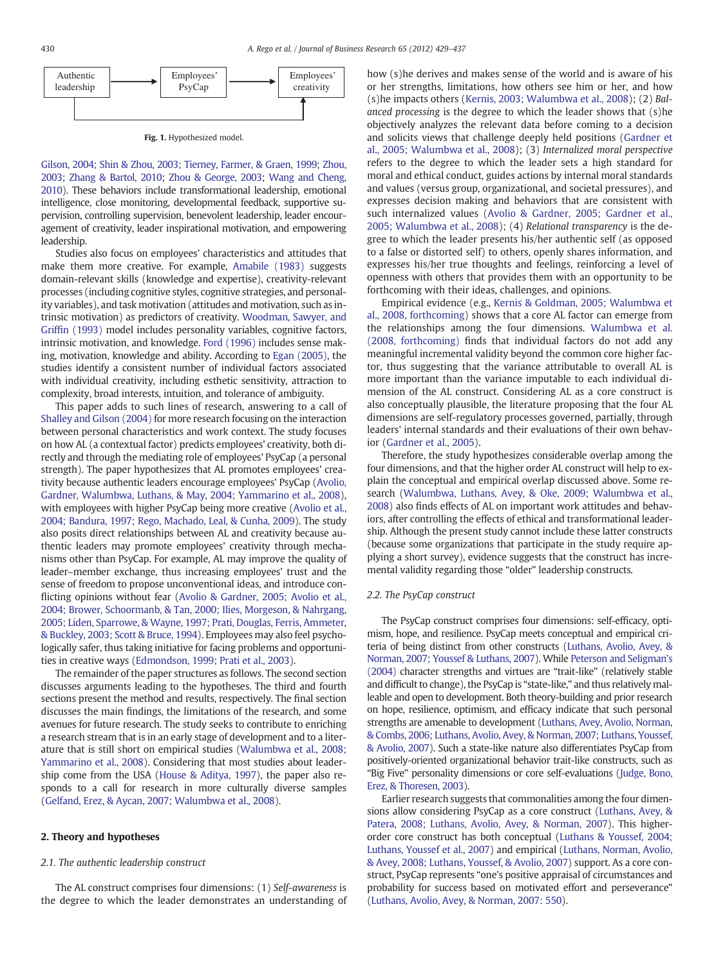<span id="page-1-0"></span>

[Gilson, 2004; Shin & Zhou, 2003; Tierney, Farmer, & Graen, 1999](#page--1-0); [Zhou,](#page--1-0) [2003](#page--1-0); [Zhang & Bartol, 2010](#page--1-0); [Zhou & George, 2003](#page--1-0); [Wang and Cheng,](#page--1-0) [2010](#page--1-0)). These behaviors include transformational leadership, emotional intelligence, close monitoring, developmental feedback, supportive supervision, controlling supervision, benevolent leadership, leader encouragement of creativity, leader inspirational motivation, and empowering leadership.

Studies also focus on employees' characteristics and attitudes that make them more creative. For example, [Amabile \(1983\)](#page--1-0) suggests domain-relevant skills (knowledge and expertise), creativity-relevant processes (including cognitive styles, cognitive strategies, and personality variables), and task motivation (attitudes and motivation, such as intrinsic motivation) as predictors of creativity. [Woodman, Sawyer, and](#page--1-0) Griffi[n \(1993\)](#page--1-0) model includes personality variables, cognitive factors, intrinsic motivation, and knowledge. [Ford \(1996\)](#page--1-0) includes sense making, motivation, knowledge and ability. According to [Egan \(2005\),](#page--1-0) the studies identify a consistent number of individual factors associated with individual creativity, including esthetic sensitivity, attraction to complexity, broad interests, intuition, and tolerance of ambiguity.

This paper adds to such lines of research, answering to a call of [Shalley and Gilson \(2004\)](#page--1-0) for more research focusing on the interaction between personal characteristics and work context. The study focuses on how AL (a contextual factor) predicts employees' creativity, both directly and through the mediating role of employees' PsyCap (a personal strength). The paper hypothesizes that AL promotes employees' creativity because authentic leaders encourage employees' PsyCap [\(Avolio,](#page--1-0) [Gardner, Walumbwa, Luthans, & May, 2004; Yammarino et al., 2008\)](#page--1-0), with employees with higher PsyCap being more creative [\(Avolio et al.,](#page--1-0) [2004; Bandura, 1997; Rego, Machado, Leal, & Cunha, 2009](#page--1-0)). The study also posits direct relationships between AL and creativity because authentic leaders may promote employees' creativity through mechanisms other than PsyCap. For example, AL may improve the quality of leader–member exchange, thus increasing employees' trust and the sense of freedom to propose unconventional ideas, and introduce conflicting opinions without fear [\(Avolio & Gardner, 2005; Avolio et al.,](#page--1-0) [2004; Brower, Schoormanb, & Tan, 2000; Ilies, Morgeson, & Nahrgang,](#page--1-0) [2005; Liden, Sparrowe, & Wayne, 1997; Prati, Douglas, Ferris, Ammeter,](#page--1-0) [& Buckley, 2003; Scott & Bruce, 1994](#page--1-0)). Employees may also feel psychologically safer, thus taking initiative for facing problems and opportunities in creative ways ([Edmondson, 1999; Prati et al., 2003\)](#page--1-0).

The remainder of the paper structures as follows. The second section discusses arguments leading to the hypotheses. The third and fourth sections present the method and results, respectively. The final section discusses the main findings, the limitations of the research, and some avenues for future research. The study seeks to contribute to enriching a research stream that is in an early stage of development and to a literature that is still short on empirical studies ([Walumbwa et al., 2008;](#page--1-0) [Yammarino et al., 2008\)](#page--1-0). Considering that most studies about leadership come from the USA ([House & Aditya, 1997\)](#page--1-0), the paper also responds to a call for research in more culturally diverse samples [\(Gelfand, Erez, & Aycan, 2007; Walumbwa et al., 2008\)](#page--1-0).

## 2. Theory and hypotheses

#### 2.1. The authentic leadership construct

The AL construct comprises four dimensions: (1) Self-awareness is the degree to which the leader demonstrates an understanding of how (s)he derives and makes sense of the world and is aware of his or her strengths, limitations, how others see him or her, and how (s)he impacts others ([Kernis, 2003; Walumbwa et al., 2008\)](#page--1-0); (2) Balanced processing is the degree to which the leader shows that (s)he objectively analyzes the relevant data before coming to a decision and solicits views that challenge deeply held positions ([Gardner et](#page--1-0) [al., 2005; Walumbwa et al., 2008](#page--1-0)); (3) Internalized moral perspective refers to the degree to which the leader sets a high standard for moral and ethical conduct, guides actions by internal moral standards and values (versus group, organizational, and societal pressures), and expresses decision making and behaviors that are consistent with such internalized values ([Avolio & Gardner, 2005; Gardner et al.,](#page--1-0) [2005; Walumbwa et al., 2008\)](#page--1-0); (4) Relational transparency is the degree to which the leader presents his/her authentic self (as opposed to a false or distorted self) to others, openly shares information, and expresses his/her true thoughts and feelings, reinforcing a level of openness with others that provides them with an opportunity to be forthcoming with their ideas, challenges, and opinions.

Empirical evidence (e.g., [Kernis & Goldman, 2005; Walumbwa et](#page--1-0) [al., 2008, forthcoming\)](#page--1-0) shows that a core AL factor can emerge from the relationships among the four dimensions. [Walumbwa et al.](#page--1-0) [\(2008, forthcoming\)](#page--1-0) finds that individual factors do not add any meaningful incremental validity beyond the common core higher factor, thus suggesting that the variance attributable to overall AL is more important than the variance imputable to each individual dimension of the AL construct. Considering AL as a core construct is also conceptually plausible, the literature proposing that the four AL dimensions are self-regulatory processes governed, partially, through leaders' internal standards and their evaluations of their own behavior ([Gardner et al., 2005\)](#page--1-0).

Therefore, the study hypothesizes considerable overlap among the four dimensions, and that the higher order AL construct will help to explain the conceptual and empirical overlap discussed above. Some research ([Walumbwa, Luthans, Avey, & Oke, 2009; Walumbwa et al.,](#page--1-0) [2008\)](#page--1-0) also finds effects of AL on important work attitudes and behaviors, after controlling the effects of ethical and transformational leadership. Although the present study cannot include these latter constructs (because some organizations that participate in the study require applying a short survey), evidence suggests that the construct has incremental validity regarding those "older" leadership constructs.

### 2.2. The PsyCap construct

The PsyCap construct comprises four dimensions: self-efficacy, optimism, hope, and resilience. PsyCap meets conceptual and empirical criteria of being distinct from other constructs [\(Luthans, Avolio, Avey, &](#page--1-0) [Norman, 2007; Youssef & Luthans, 2007](#page--1-0)). While [Peterson and Seligman's](#page--1-0) [\(2004\)](#page--1-0) character strengths and virtues are "trait-like" (relatively stable and difficult to change), the PsyCap is "state-like," and thus relatively malleable and open to development. Both theory-building and prior research on hope, resilience, optimism, and efficacy indicate that such personal strengths are amenable to development [\(Luthans, Avey, Avolio, Norman,](#page--1-0) [& Combs, 2006; Luthans, Avolio, Avey, & Norman, 2007; Luthans, Youssef,](#page--1-0) [& Avolio, 2007\)](#page--1-0). Such a state-like nature also differentiates PsyCap from positively-oriented organizational behavior trait-like constructs, such as "Big Five" personality dimensions or core self-evaluations ([Judge, Bono,](#page--1-0) [Erez, & Thoresen, 2003\)](#page--1-0).

Earlier research suggests that commonalities among the four dimensions allow considering PsyCap as a core construct [\(Luthans, Avey, &](#page--1-0) [Patera, 2008; Luthans, Avolio, Avey, & Norman, 2007](#page--1-0)). This higherorder core construct has both conceptual [\(Luthans & Youssef, 2004;](#page--1-0) [Luthans, Youssef et al., 2007](#page--1-0)) and empirical [\(Luthans, Norman, Avolio,](#page--1-0) [& Avey, 2008; Luthans, Youssef, & Avolio, 2007\)](#page--1-0) support. As a core construct, PsyCap represents "one's positive appraisal of circumstances and probability for success based on motivated effort and perseverance" [\(Luthans, Avolio, Avey, & Norman, 2007: 550\)](#page--1-0).